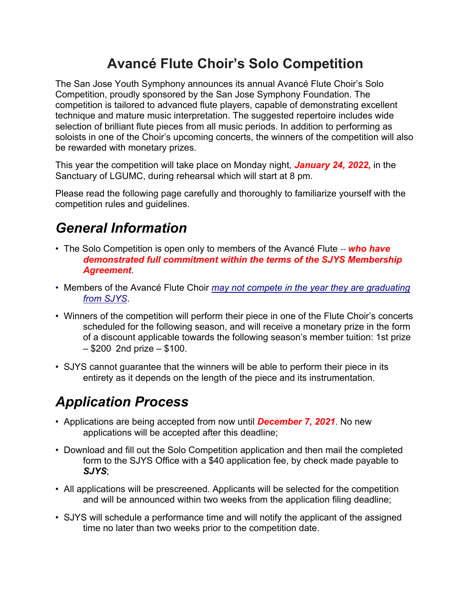# **Avancé Flute Choir's Solo Competition**

The San Jose Youth Symphony announces its annual Avancé Flute Choir's Solo Competition, proudly sponsored by the San Jose Symphony Foundation. The competition is tailored to advanced flute players, capable of demonstrating excellent technique and mature music interpretation. The suggested repertoire includes wide selection of brilliant flute pieces from all music periods. In addition to performing as soloists in one of the Choir's upcoming concerts, the winners of the competition will also be rewarded with monetary prizes.

This year the competition will take place on Monday night, *January 24, 2022,* in the Sanctuary of LGUMC, during rehearsal which will start at 8 pm.

Please read the following page carefully and thoroughly to familiarize yourself with the competition rules and guidelines.

# *General Information*

- The Solo Competition is open only to members of the Avancé Flute -- *who have demonstrated full commitment within the terms of the SJYS Membership Agreement*.
- Members of the Avancé Flute Choir *may not compete in the year they are graduating from SJYS*.
- Winners of the competition will perform their piece in one of the Flute Choir's concerts scheduled for the following season, and will receive a monetary prize in the form of a discount applicable towards the following season's member tuition: 1st prize – \$200 2nd prize – \$100.
- SJYS cannot guarantee that the winners will be able to perform their piece in its entirety as it depends on the length of the piece and its instrumentation.

# *Application Process*

- Applications are being accepted from now until *December 7, 2021*. No new applications will be accepted after this deadline;
- Download and fill out the Solo Competition application and then mail the completed form to the SJYS Office with a \$40 application fee, by check made payable to *SJYS*;
- All applications will be prescreened. Applicants will be selected for the competition and will be announced within two weeks from the application filing deadline;
- SJYS will schedule a performance time and will notify the applicant of the assigned time no later than two weeks prior to the competition date.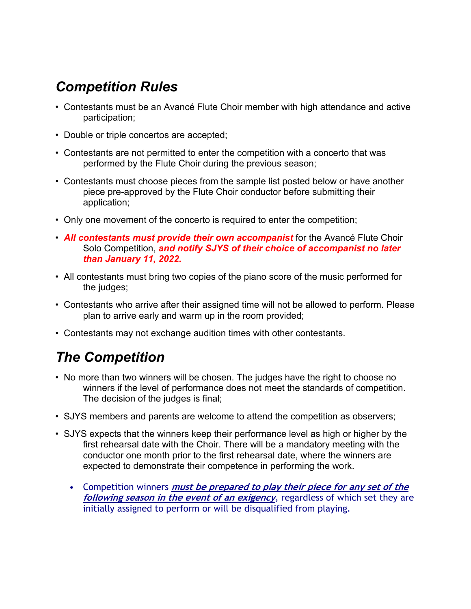# *Competition Rules*

- Contestants must be an Avancé Flute Choir member with high attendance and active participation;
- Double or triple concertos are accepted;
- Contestants are not permitted to enter the competition with a concerto that was performed by the Flute Choir during the previous season;
- Contestants must choose pieces from the sample list posted below or have another piece pre-approved by the Flute Choir conductor before submitting their application;
- Only one movement of the concerto is required to enter the competition;
- *All contestants must provide their own accompanist* for the Avancé Flute Choir Solo Competition, *and notify SJYS of their choice of accompanist no later than January 11, 2022.*
- All contestants must bring two copies of the piano score of the music performed for the judges;
- Contestants who arrive after their assigned time will not be allowed to perform. Please plan to arrive early and warm up in the room provided;
- Contestants may not exchange audition times with other contestants.

#### *The Competition*

- No more than two winners will be chosen. The judges have the right to choose no winners if the level of performance does not meet the standards of competition. The decision of the judges is final;
- SJYS members and parents are welcome to attend the competition as observers;
- SJYS expects that the winners keep their performance level as high or higher by the first rehearsal date with the Choir. There will be a mandatory meeting with the conductor one month prior to the first rehearsal date, where the winners are expected to demonstrate their competence in performing the work.
	- Competition winners **must be prepared to play their piece for any set of the following season in the event of an exigency**, regardless of which set they are initially assigned to perform or will be disqualified from playing.